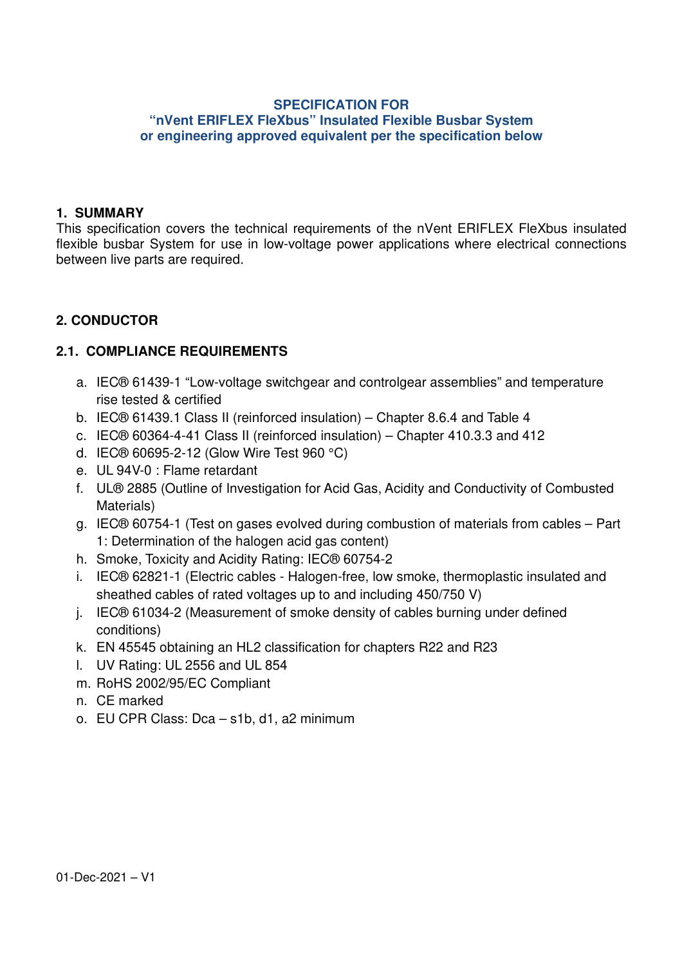#### **SPECIFICATION FOR "nVent ERIFLEX FleXbus" Insulated Flexible Busbar System or engineering approved equivalent per the specification below**

#### **1. SUMMARY**

This specification covers the technical requirements of the nVent ERIFLEX FleXbus insulated flexible busbar System for use in low-voltage power applications where electrical connections between live parts are required.

### **2. CONDUCTOR**

### **2.1. COMPLIANCE REQUIREMENTS**

- a. IEC® 61439-1 "Low-voltage switchgear and controlgear assemblies" and temperature rise tested & certified
- b. IEC® 61439.1 Class II (reinforced insulation) Chapter 8.6.4 and Table 4
- c. IEC® 60364-4-41 Class II (reinforced insulation) Chapter 410.3.3 and 412
- d. IEC® 60695-2-12 (Glow Wire Test 960 °C)
- e. UL 94V-0 : Flame retardant
- f. UL® 2885 (Outline of Investigation for Acid Gas, Acidity and Conductivity of Combusted Materials)
- g. IEC® 60754-1 (Test on gases evolved during combustion of materials from cables Part 1: Determination of the halogen acid gas content)
- h. Smoke, Toxicity and Acidity Rating: IEC® 60754-2
- i. IEC® 62821-1 (Electric cables Halogen-free, low smoke, thermoplastic insulated and sheathed cables of rated voltages up to and including 450/750 V)
- j. IEC® 61034-2 (Measurement of smoke density of cables burning under defined conditions)
- k. EN 45545 obtaining an HL2 classification for chapters R22 and R23
- l. UV Rating: UL 2556 and UL 854
- m. RoHS 2002/95/EC Compliant
- n. CE marked
- o. EU CPR Class: Dca s1b, d1, a2 minimum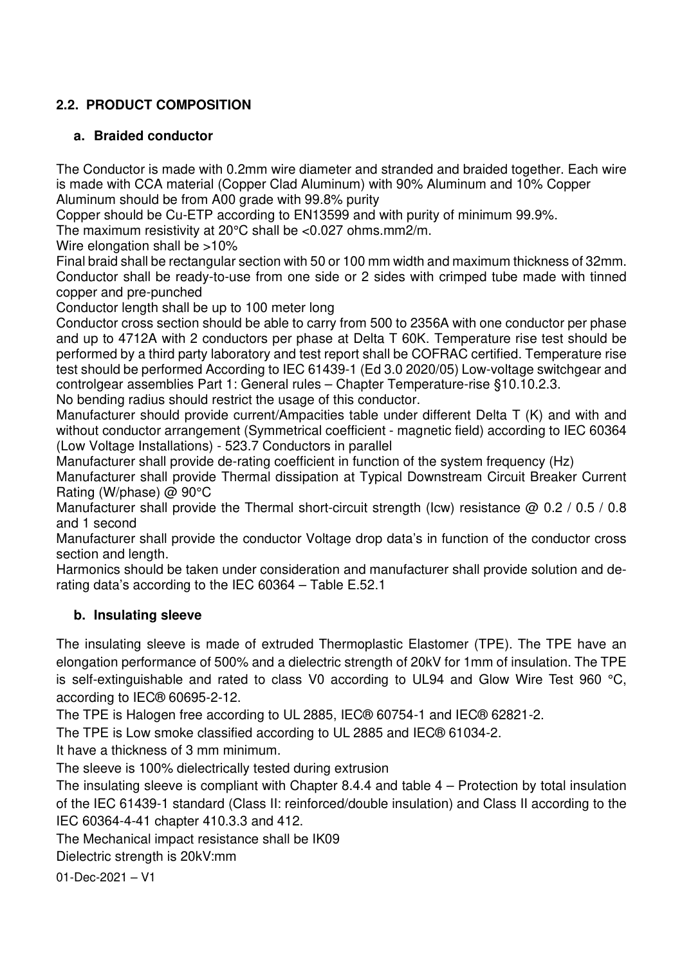# **2.2. PRODUCT COMPOSITION**

## **a. Braided conductor**

The Conductor is made with 0.2mm wire diameter and stranded and braided together. Each wire is made with CCA material (Copper Clad Aluminum) with 90% Aluminum and 10% Copper Aluminum should be from A00 grade with 99.8% purity

Copper should be Cu-ETP according to EN13599 and with purity of minimum 99.9%.

The maximum resistivity at 20°C shall be <0.027 ohms.mm2/m.

Wire elongation shall be >10%

Final braid shall be rectangular section with 50 or 100 mm width and maximum thickness of 32mm. Conductor shall be ready-to-use from one side or 2 sides with crimped tube made with tinned copper and pre-punched

Conductor length shall be up to 100 meter long

Conductor cross section should be able to carry from 500 to 2356A with one conductor per phase and up to 4712A with 2 conductors per phase at Delta T 60K. Temperature rise test should be performed by a third party laboratory and test report shall be COFRAC certified. Temperature rise test should be performed According to IEC 61439-1 (Ed 3.0 2020/05) Low-voltage switchgear and controlgear assemblies Part 1: General rules – Chapter Temperature-rise §10.10.2.3.

No bending radius should restrict the usage of this conductor.

Manufacturer should provide current/Ampacities table under different Delta T (K) and with and without conductor arrangement (Symmetrical coefficient - magnetic field) according to IEC 60364 (Low Voltage Installations) - 523.7 Conductors in parallel

Manufacturer shall provide de-rating coefficient in function of the system frequency (Hz)

Manufacturer shall provide Thermal dissipation at Typical Downstream Circuit Breaker Current Rating (W/phase) @ 90°C

Manufacturer shall provide the Thermal short-circuit strength (Icw) resistance @ 0.2 / 0.5 / 0.8 and 1 second

Manufacturer shall provide the conductor Voltage drop data's in function of the conductor cross section and length.

Harmonics should be taken under consideration and manufacturer shall provide solution and derating data's according to the IEC 60364 – Table E.52.1

# **b. Insulating sleeve**

The insulating sleeve is made of extruded Thermoplastic Elastomer (TPE). The TPE have an elongation performance of 500% and a dielectric strength of 20kV for 1mm of insulation. The TPE is self-extinguishable and rated to class V0 according to UL94 and Glow Wire Test 960 °C, according to IEC® 60695-2-12.

The TPE is Halogen free according to UL 2885, IEC® 60754-1 and IEC® 62821-2.

The TPE is Low smoke classified according to UL 2885 and IEC® 61034-2.

It have a thickness of 3 mm minimum.

The sleeve is 100% dielectrically tested during extrusion

The insulating sleeve is compliant with Chapter 8.4.4 and table 4 – Protection by total insulation of the IEC 61439-1 standard (Class II: reinforced/double insulation) and Class II according to the IEC 60364-4-41 chapter 410.3.3 and 412.

The Mechanical impact resistance shall be IK09

Dielectric strength is 20kV:mm

01-Dec-2021 – V1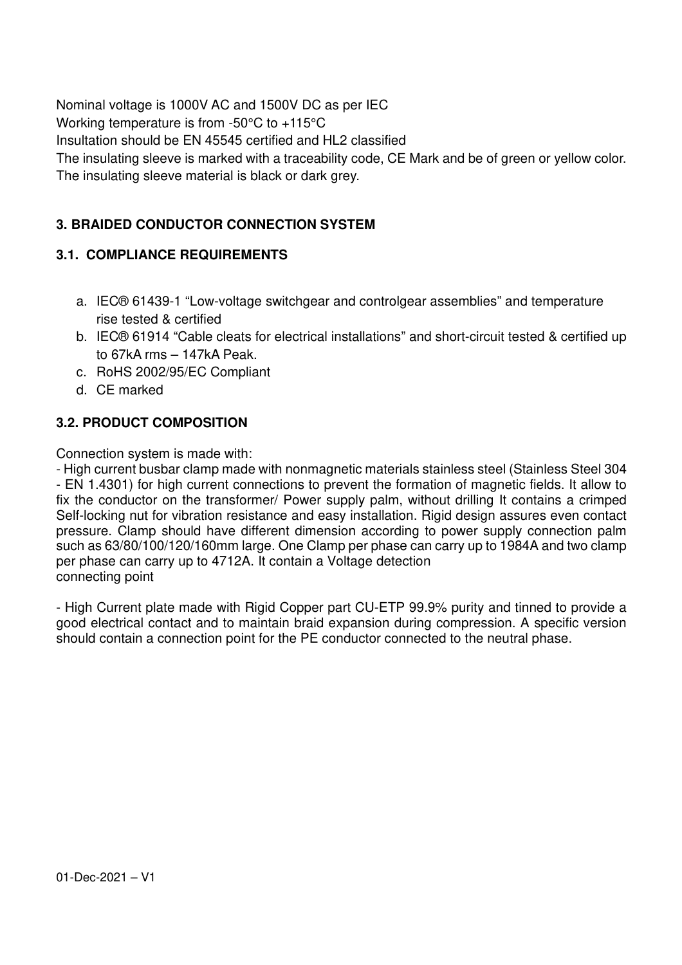Nominal voltage is 1000V AC and 1500V DC as per IEC Working temperature is from -50°C to +115°C Insultation should be EN 45545 certified and HL2 classified The insulating sleeve is marked with a traceability code, CE Mark and be of green or yellow color. The insulating sleeve material is black or dark grey.

# **3. BRAIDED CONDUCTOR CONNECTION SYSTEM**

# **3.1. COMPLIANCE REQUIREMENTS**

- a. IEC® 61439-1 "Low-voltage switchgear and controlgear assemblies" and temperature rise tested & certified
- b. IEC® 61914 "Cable cleats for electrical installations" and short-circuit tested & certified up to 67kA rms – 147kA Peak.
- c. RoHS 2002/95/EC Compliant
- d. CE marked

## **3.2. PRODUCT COMPOSITION**

Connection system is made with:

- High current busbar clamp made with nonmagnetic materials stainless steel (Stainless Steel 304 - EN 1.4301) for high current connections to prevent the formation of magnetic fields. It allow to fix the conductor on the transformer/ Power supply palm, without drilling It contains a crimped Self-locking nut for vibration resistance and easy installation. Rigid design assures even contact pressure. Clamp should have different dimension according to power supply connection palm such as 63/80/100/120/160mm large. One Clamp per phase can carry up to 1984A and two clamp per phase can carry up to 4712A. It contain a Voltage detection connecting point

- High Current plate made with Rigid Copper part CU-ETP 99.9% purity and tinned to provide a good electrical contact and to maintain braid expansion during compression. A specific version should contain a connection point for the PE conductor connected to the neutral phase.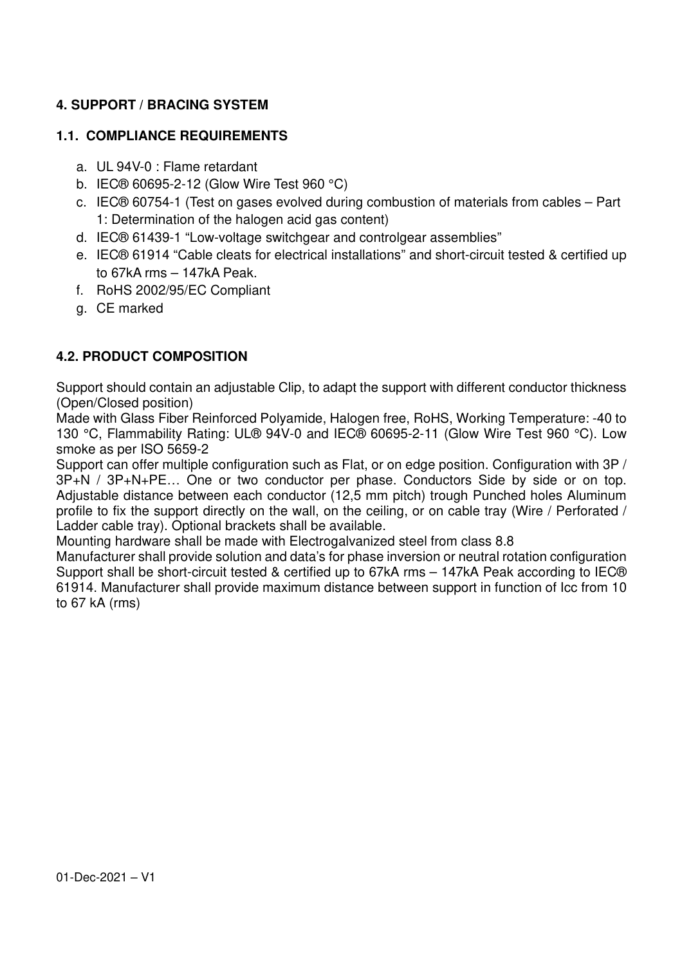# **4. SUPPORT / BRACING SYSTEM**

### **1.1. COMPLIANCE REQUIREMENTS**

- a. UL 94V-0 : Flame retardant
- b. IEC® 60695-2-12 (Glow Wire Test 960 °C)
- c. IEC® 60754-1 (Test on gases evolved during combustion of materials from cables Part 1: Determination of the halogen acid gas content)
- d. IEC® 61439-1 "Low-voltage switchgear and controlgear assemblies"
- e. IEC® 61914 "Cable cleats for electrical installations" and short-circuit tested & certified up to 67kA rms – 147kA Peak.
- f. RoHS 2002/95/EC Compliant
- g. CE marked

### **4.2. PRODUCT COMPOSITION**

Support should contain an adjustable Clip, to adapt the support with different conductor thickness (Open/Closed position)

Made with Glass Fiber Reinforced Polyamide, Halogen free, RoHS, Working Temperature: -40 to 130 °C, Flammability Rating: UL® 94V-0 and IEC® 60695-2-11 (Glow Wire Test 960 °C). Low smoke as per ISO 5659-2

Support can offer multiple configuration such as Flat, or on edge position. Configuration with 3P / 3P+N / 3P+N+PE… One or two conductor per phase. Conductors Side by side or on top. Adjustable distance between each conductor (12,5 mm pitch) trough Punched holes Aluminum profile to fix the support directly on the wall, on the ceiling, or on cable tray (Wire / Perforated / Ladder cable tray). Optional brackets shall be available.

Mounting hardware shall be made with Electrogalvanized steel from class 8.8

Manufacturer shall provide solution and data's for phase inversion or neutral rotation configuration Support shall be short-circuit tested & certified up to 67kA rms – 147kA Peak according to IEC® 61914. Manufacturer shall provide maximum distance between support in function of Icc from 10 to 67 kA (rms)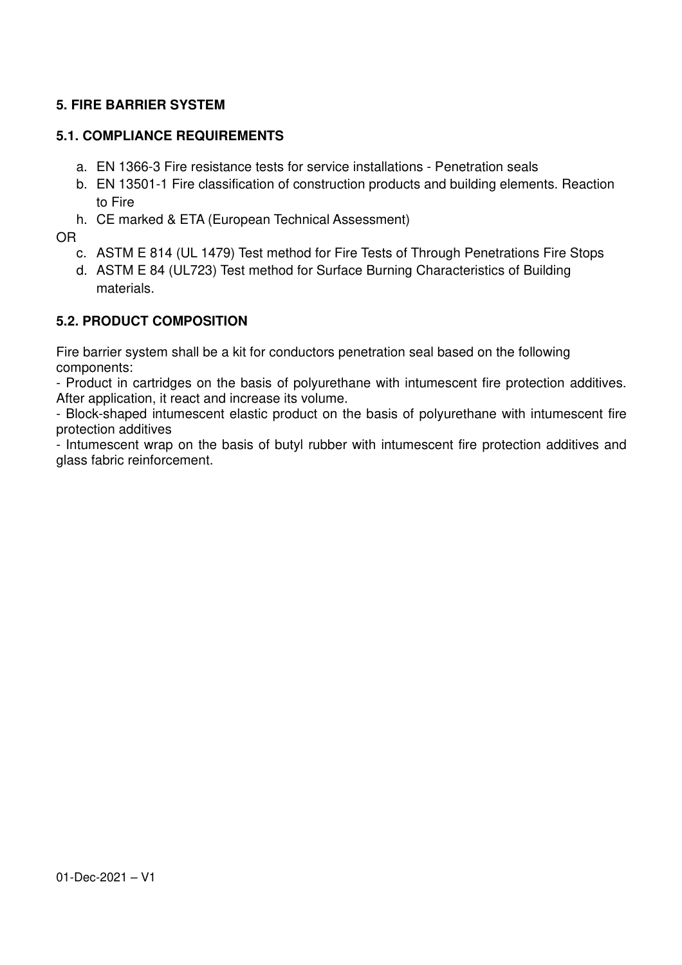## **5. FIRE BARRIER SYSTEM**

### **5.1. COMPLIANCE REQUIREMENTS**

- a. EN 1366-3 Fire resistance tests for service installations Penetration seals
- b. EN 13501-1 Fire classification of construction products and building elements. Reaction to Fire
- h. CE marked & ETA (European Technical Assessment)

OR

- c. ASTM E 814 (UL 1479) Test method for Fire Tests of Through Penetrations Fire Stops
- d. ASTM E 84 (UL723) Test method for Surface Burning Characteristics of Building materials.

### **5.2. PRODUCT COMPOSITION**

Fire barrier system shall be a kit for conductors penetration seal based on the following components:

- Product in cartridges on the basis of polyurethane with intumescent fire protection additives. After application, it react and increase its volume.

- Block-shaped intumescent elastic product on the basis of polyurethane with intumescent fire protection additives

- Intumescent wrap on the basis of butyl rubber with intumescent fire protection additives and glass fabric reinforcement.